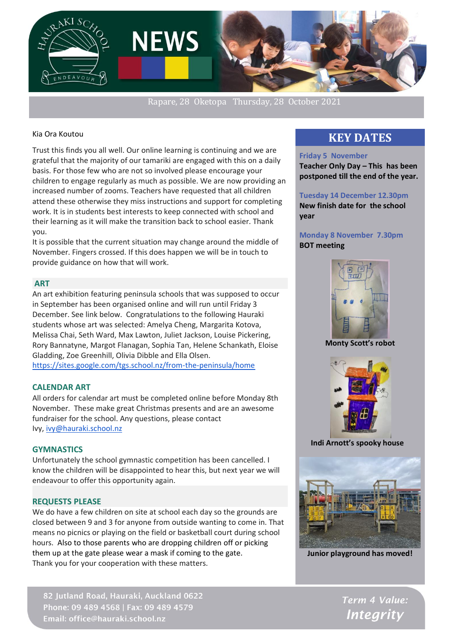

Rapare, 28 Oketopa Thursday, 28 October 2021

#### Kia Ora Koutou

Trust this finds you all well. Our online learning is continuing and we are grateful that the majority of our tamariki are engaged with this on a daily basis. For those few who are not so involved please encourage your children to engage regularly as much as possible. We are now providing an increased number of zooms. Teachers have requested that all children attend these otherwise they miss instructions and support for completing work. It is in students best interests to keep connected with school and their learning as it will make the transition back to school easier. Thank you.

**NEWS** 

It is possible that the current situation may change around the middle of November. Fingers crossed. If this does happen we will be in touch to provide guidance on how that will work.

### **ART**

An art exhibition featuring peninsula schools that was supposed to occur in September has been organised online and will run until Friday 3 December. See link below. Congratulations to the following Hauraki students whose art was selected: Amelya Cheng, Margarita Kotova, Melissa Chai, Seth Ward, Max Lawton, Juliet Jackson, Louise Pickering, Rory Bannatyne, Margot Flanagan, Sophia Tan, Helene Schankath, Eloise Gladding, Zoe Greenhill, Olivia Dibble and Ella Olsen. <https://sites.google.com/tgs.school.nz/from-the-peninsula/home>

## **CALENDAR ART**

All orders for calendar art must be completed online before Monday 8th November. These make great Christmas presents and are an awesome fundraiser for the school. Any questions, please contact Ivy, [ivy@hauraki.school.nz](mailto:ivy@hauraki.school.nz)

#### **GYMNASTICS**

Unfortunately the school gymnastic competition has been cancelled. I know the children will be disappointed to hear this, but next year we will endeavour to offer this opportunity again.

## **REQUESTS PLEASE**

We do have a few children on site at school each day so the grounds are closed between 9 and 3 for anyone from outside wanting to come in. That means no picnics or playing on the field or basketball court during school hours. Also to those parents who are dropping children off or picking them up at the gate please wear a mask if coming to the gate. Thank you for your cooperation with these matters.

82 Jutland Road, Hauraki, Auckland 0622 Phone: 09 489 4568 | Fax: 09 489 4579 Email: office@hauraki.school.nz

# **KEY DATES**

#### **Friday 5 November**

**Teacher Only Day – This has been postponed till the end of the year.**

**Tuesday 14 December 12.30pm New finish date for the school year**

## **Monday 8 November 7.30pm BOT meeting**



**Monty Scott's robot**



 **Indi Arnott's spooky house**



**Junior playground has moved!**

Term 4 Value: **Integrity**